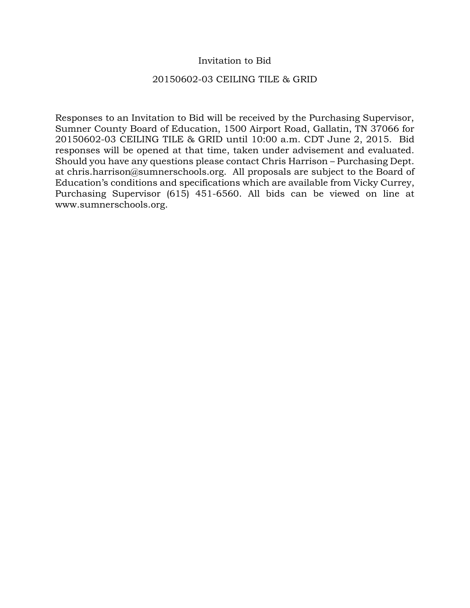### Invitation to Bid

#### 20150602-03 CEILING TILE & GRID

Responses to an Invitation to Bid will be received by the Purchasing Supervisor, Sumner County Board of Education, 1500 Airport Road, Gallatin, TN 37066 for 20150602-03 CEILING TILE & GRID until 10:00 a.m. CDT June 2, 2015. Bid responses will be opened at that time, taken under advisement and evaluated. Should you have any questions please contact Chris Harrison – Purchasing Dept. at chris.harrison@sumnerschools.org. All proposals are subject to the Board of Education's conditions and specifications which are available from Vicky Currey, Purchasing Supervisor (615) 451-6560. All bids can be viewed on line at www.sumnerschools.org.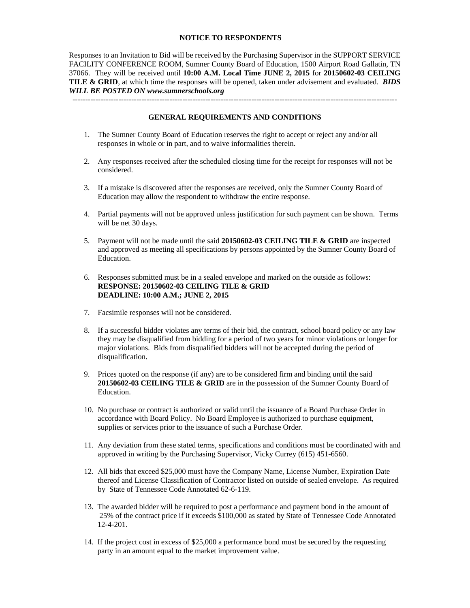#### **NOTICE TO RESPONDENTS**

Responses to an Invitation to Bid will be received by the Purchasing Supervisor in the SUPPORT SERVICE FACILITY CONFERENCE ROOM, Sumner County Board of Education, 1500 Airport Road Gallatin, TN 37066. They will be received until **10:00 A.M. Local Time JUNE 2, 2015** for **20150602-03 CEILING TILE & GRID**, at which time the responses will be opened, taken under advisement and evaluated. *BIDS WILL BE POSTED ON www.sumnerschools.org* 

**GENERAL REQUIREMENTS AND CONDITIONS** 

-------------------------------------------------------------------------------------------------------------------------------

- 1. The Sumner County Board of Education reserves the right to accept or reject any and/or all responses in whole or in part, and to waive informalities therein.
- 2. Any responses received after the scheduled closing time for the receipt for responses will not be considered.
- 3. If a mistake is discovered after the responses are received, only the Sumner County Board of Education may allow the respondent to withdraw the entire response.
- 4. Partial payments will not be approved unless justification for such payment can be shown. Terms will be net 30 days.
- 5. Payment will not be made until the said **20150602-03 CEILING TILE & GRID** are inspected and approved as meeting all specifications by persons appointed by the Sumner County Board of Education.
- 6. Responses submitted must be in a sealed envelope and marked on the outside as follows: **RESPONSE: 20150602-03 CEILING TILE & GRID DEADLINE: 10:00 A.M.; JUNE 2, 2015**
- 7. Facsimile responses will not be considered.
- 8. If a successful bidder violates any terms of their bid, the contract, school board policy or any law they may be disqualified from bidding for a period of two years for minor violations or longer for major violations. Bids from disqualified bidders will not be accepted during the period of disqualification.
- 9. Prices quoted on the response (if any) are to be considered firm and binding until the said **20150602-03 CEILING TILE & GRID** are in the possession of the Sumner County Board of Education.
- 10. No purchase or contract is authorized or valid until the issuance of a Board Purchase Order in accordance with Board Policy. No Board Employee is authorized to purchase equipment, supplies or services prior to the issuance of such a Purchase Order.
- 11. Any deviation from these stated terms, specifications and conditions must be coordinated with and approved in writing by the Purchasing Supervisor, Vicky Currey (615) 451-6560.
- 12. All bids that exceed \$25,000 must have the Company Name, License Number, Expiration Date thereof and License Classification of Contractor listed on outside of sealed envelope. As required by State of Tennessee Code Annotated 62-6-119.
- 13. The awarded bidder will be required to post a performance and payment bond in the amount of 25% of the contract price if it exceeds \$100,000 as stated by State of Tennessee Code Annotated 12-4-201.
- 14. If the project cost in excess of \$25,000 a performance bond must be secured by the requesting party in an amount equal to the market improvement value.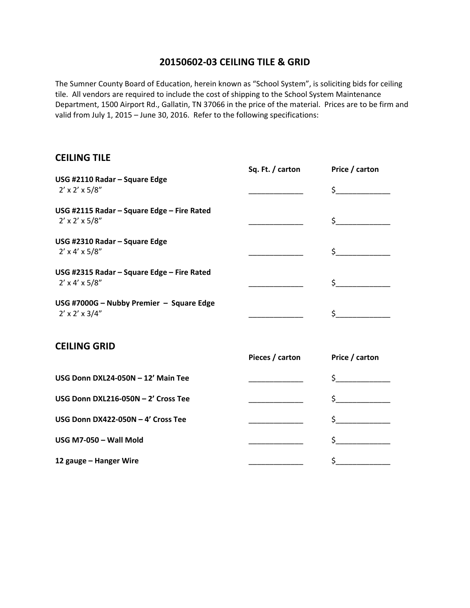## **20150602‐03 CEILING TILE & GRID**

The Sumner County Board of Education, herein known as "School System", is soliciting bids for ceiling tile. All vendors are required to include the cost of shipping to the School System Maintenance Department, 1500 Airport Rd., Gallatin, TN 37066 in the price of the material. Prices are to be firm and valid from July 1, 2015 – June 30, 2016. Refer to the following specifications:

# **CEILING TILE**

|                                                                           | Sq. Ft. / carton | Price / carton |
|---------------------------------------------------------------------------|------------------|----------------|
| USG #2110 Radar - Square Edge<br>$2' \times 2' \times 5/8''$              |                  | $\zeta$        |
| USG #2115 Radar - Square Edge - Fire Rated<br>$2' \times 2' \times 5/8''$ |                  | $\zeta$        |
| USG #2310 Radar - Square Edge<br>$2' \times 4' \times 5/8''$              |                  | $\sharp$       |
| USG #2315 Radar - Square Edge - Fire Rated<br>$2' \times 4' \times 5/8''$ |                  | $\zeta$        |
| USG #7000G - Nubby Premier - Square Edge<br>$2' \times 2' \times 3/4''$   |                  | \$             |
| <b>CEILING GRID</b>                                                       | Pieces / carton  | Price / carton |
| USG Donn DXL24-050N - 12' Main Tee                                        |                  | $\zeta$        |
| USG Donn DXL216-050N - 2' Cross Tee                                       |                  | $\zeta$        |
| USG Donn DX422-050N - 4' Cross Tee                                        |                  | $\zeta$        |
| USG M7-050 - Wall Mold                                                    |                  | $\sharp$       |
| 12 gauge - Hanger Wire                                                    |                  | \$             |